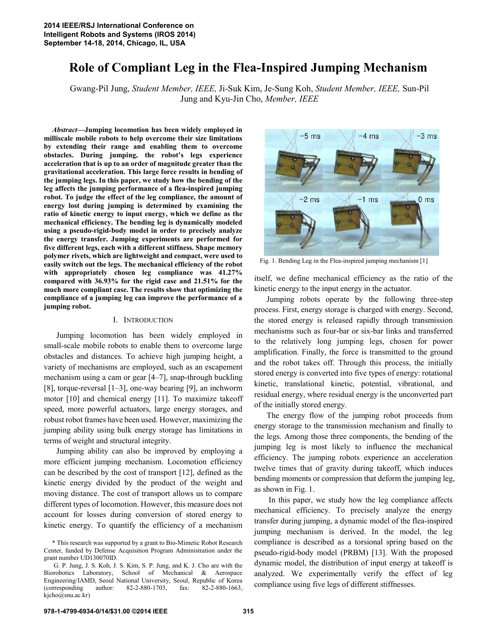# **Role of Compliant Leg in the Flea-Inspired Jumping Mechanism**

Gwang-Pil Jung, *Student Member, IEEE,* Ji-Suk Kim, Je-Sung Koh, *Student Member, IEEE,* Sun-Pil Jung and Kyu-Jin Cho, *Member, IEEE*

*Abstract***—Jumping locomotion has been widely employed in milliscale mobile robots to help overcome their size limitations by extending their range and enabling them to overcome obstacles. During jumping, the robot's legs experience acceleration that is up to an order of magnitude greater than the gravitational acceleration. This large force results in bending of the jumping legs. In this paper, we study how the bending of the leg affects the jumping performance of a flea-inspired jumping robot. To judge the effect of the leg compliance, the amount of energy lost during jumping is determined by examining the ratio of kinetic energy to input energy, which we define as the mechanical efficiency. The bending leg is dynamically modeled using a pseudo-rigid-body model in order to precisely analyze the energy transfer. Jumping experiments are performed for five different legs, each with a different stiffness. Shape memory polymer rivets, which are lightweight and compact, were used to easily switch out the legs. The mechanical efficiency of the robot with appropriately chosen leg compliance was 41.27% compared with 36.93% for the rigid case and 21.51% for the much more compliant case. The results show that optimizing the compliance of a jumping leg can improve the performance of a jumping robot.**

## I. INTRODUCTION

Jumping locomotion has been widely employed in small-scale mobile robots to enable them to overcome large obstacles and distances. To achieve high jumping height, a variety of mechanisms are employed, such as an escapement mechanism using a cam or gear [4–7], snap-through buckling [8], torque-reversal [1–3], one-way bearing [9], an inchworm motor [10] and chemical energy [11]. To maximize takeoff speed, more powerful actuators, large energy storages, and robust robot frames have been used. However, maximizing the jumping ability using bulk energy storage has limitations in terms of weight and structural integrity.

Jumping ability can also be improved by employing a more efficient jumping mechanism. Locomotion efficiency can be described by the cost of transport [12], defined as the kinetic energy divided by the product of the weight and moving distance. The cost of transport allows us to compare different types of locomotion. However, this measure does not account for losses during conversion of stored energy to kinetic energy. To quantify the efficiency of a mechanism



Fig. 1. Bending Leg in the Flea-inspired jumping mechanism [1]

itself, we define mechanical efficiency as the ratio of the kinetic energy to the input energy in the actuator.

Jumping robots operate by the following three-step process. First, energy storage is charged with energy. Second, the stored energy is released rapidly through transmission mechanisms such as four-bar or six-bar links and transferred to the relatively long jumping legs, chosen for power amplification. Finally, the force is transmitted to the ground and the robot takes off. Through this process, the initially stored energy is converted into five types of energy: rotational kinetic, translational kinetic, potential, vibrational, and residual energy, where residual energy is the unconverted part of the initially stored energy.

The energy flow of the jumping robot proceeds from energy storage to the transmission mechanism and finally to the legs. Among those three components, the bending of the jumping leg is most likely to influence the mechanical efficiency. The jumping robots experience an acceleration twelve times that of gravity during takeoff, which induces bending moments or compression that deform the jumping leg, as shown in Fig. 1.

In this paper, we study how the leg compliance affects mechanical efficiency. To precisely analyze the energy transfer during jumping, a dynamic model of the flea-inspired jumping mechanism is derived. In the model, the leg compliance is described as a torsional spring based on the pseudo-rigid-body model (PRBM) [13]. With the proposed dynamic model, the distribution of input energy at takeoff is analyzed. We experimentally verify the effect of leg compliance using five legs of different stiffnesses.

<sup>\*</sup> This research was supported by a grant to Bio-Mimetic Robot Research Center, funded by Defense Acquisition Program Administration under the grant number UD130070ID.

G. P. Jung, J. S. Koh, J. S. Kim, S. P. Jung, and K. J. Cho are with the Biorobotics Laboratory, School of Mechanical & Aerospace Engineering/IAMD, Seoul National University, Seoul, Republic of Korea (corresponding author: 82-2-880-1703, fax: 82-2-880-1663, kjcho@snu.ac.kr)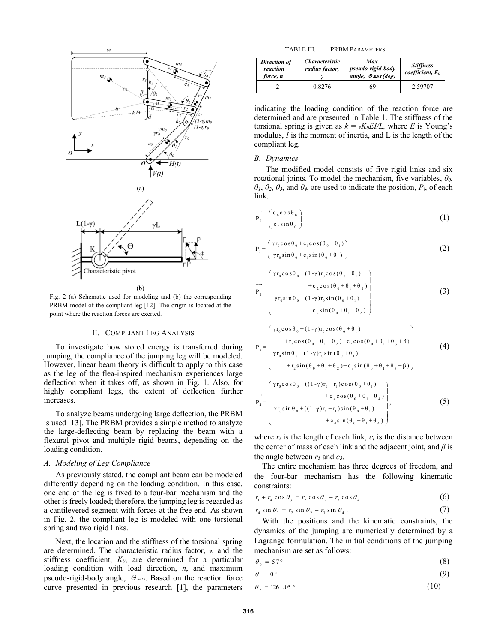

(b)

Fig. 2 (a) Schematic used for modeling and (b) the corresponding PRBM model of the compliant leg [12]. The origin is located at the point where the reaction forces are exerted.

## II. COMPLIANT LEG ANALYSIS

To investigate how stored energy is transferred during jumping, the compliance of the jumping leg will be modeled. However, linear beam theory is difficult to apply to this case as the leg of the flea-inspired mechanism experiences large deflection when it takes off, as shown in Fig. 1. Also, for highly compliant legs, the extent of deflection further increases.

To analyze beams undergoing large deflection, the PRBM is used [13]. The PRBM provides a simple method to analyze the large-deflecting beam by replacing the beam with a flexural pivot and multiple rigid beams, depending on the loading condition.

## *A. Modeling of Leg Compliance*

As previously stated, the compliant beam can be modeled differently depending on the loading condition. In this case, one end of the leg is fixed to a four-bar mechanism and the other is freely loaded; therefore, the jumping leg is regarded as a cantilevered segment with forces at the free end. As shown in Fig. 2, the compliant leg is modeled with one torsional spring and two rigid links.

Next, the location and the stiffness of the torsional spring are determined. The characteristic radius factor, *γ*, and the stiffness coefficient, *Kθ*, are determined for a particular loading condition with load direction, *n*, and maximum pseudo-rigid-body angle,  $\Theta$ <sub>max</sub>. Based on the reaction force curve presented in previous research [1], the parameters

TABLE III. PRBM PARAMETERS

| Direction of<br>reaction<br>force, n | <i><b>Characteristic</b></i><br>radius factor, |    | <b>Stiffness</b><br>coefficient, $K_{\theta}$ |
|--------------------------------------|------------------------------------------------|----|-----------------------------------------------|
|                                      | 0.8276                                         | 69 | 2.59707                                       |

indicating the loading condition of the reaction force are determined and are presented in Table 1. The stiffness of the torsional spring is given as  $k = \gamma K \theta E I/L$ , where *E* is Young's modulus, *I* is the moment of inertia, and L is the length of the compliant leg*.*

#### *B. Dynamics*

The modified model consists of five rigid links and six rotational joints. To model the mechanism, five variables,  $\theta_0$ , *θ1*, *θ2*, *θ3*, and *θ4*, are used to indicate the position, *Pi*, of each link.

$$
\overrightarrow{\mathbf{P}_0} = \begin{pmatrix} \mathbf{c}_0 \cos \theta_0 \\ \mathbf{c}_0 \sin \theta_0 \end{pmatrix} \tag{1}
$$

$$
\overrightarrow{\mathbf{P}_{1}} = \begin{pmatrix} \gamma \mathbf{r}_{0} \cos \theta_{0} + \mathbf{c}_{1} \cos(\theta_{0} + \theta_{1}) \\ \gamma \mathbf{r}_{0} \sin \theta_{0} + \mathbf{c}_{1} \sin(\theta_{0} + \theta_{1}) \end{pmatrix}
$$
 (2)

$$
\overrightarrow{P}_{2} = \begin{pmatrix} \gamma r_{0} \cos \theta_{0} + (1 - \gamma) r_{0} \cos (\theta_{0} + \theta_{1}) \\ + c_{2} \cos (\theta_{0} + \theta_{1} + \theta_{2}) \\ \gamma r_{0} \sin \theta_{0} + (1 - \gamma) r_{0} \sin (\theta_{0} + \theta_{1}) \\ + c_{2} \sin (\theta_{0} + \theta_{1} + \theta_{2}) \end{pmatrix}
$$
\n(3)

$$
\overrightarrow{P}_{3} = \begin{pmatrix} \gamma r_{0} \cos \theta_{0} + (1 - \gamma) r_{0} \cos (\theta_{0} + \theta_{1}) \\ + r_{2} \cos (\theta_{0} + \theta_{1} + \theta_{2}) + c_{3} \cos (\theta_{0} + \theta_{1} + \theta_{3} + \beta) \\ \gamma r_{0} \sin \theta_{0} + (1 - \gamma) r_{0} \sin (\theta_{0} + \theta_{1}) \end{pmatrix}
$$
(4)

 $+ r_2 \sin(\theta_0 + \theta_1 + \theta_2) + c_3 \sin(\theta_0 + \theta_1 + \theta_3 + \beta)$ 

$$
P_{4} = \begin{pmatrix} \gamma r_{0} \cos \theta_{0} + ((1 - \gamma) r_{0} + r_{1}) \cos (\theta_{0} + \theta_{1}) \\ + c_{4} \cos (\theta_{0} + \theta_{1} + \theta_{4}) \\ \gamma r_{0} \sin \theta_{0} + ((1 - \gamma) r_{0} + r_{1}) \sin (\theta_{0} + \theta_{1}) \\ + c_{4} \sin (\theta_{0} + \theta_{1} + \theta_{4}) \end{pmatrix},
$$
 (5)

where  $r_i$  is the length of each link,  $c_i$  is the distance between the center of mass of each link and the adjacent joint, and *β* is the angle between  $r_3$  and  $c_3$ .

The entire mechanism has three degrees of freedom, and the four-bar mechanism has the following kinematic constraints:

$$
r_1 + r_4 \cos \theta_3 = r_2 \cos \theta_2 + r_3 \cos \theta_4 \tag{6}
$$

$$
r_4 \sin \theta_3 = r_2 \sin \theta_2 + r_3 \sin \theta_4. \tag{7}
$$

With the positions and the kinematic constraints, the dynamics of the jumping are numerically determined by a Lagrange formulation. The initial conditions of the jumping mechanism are set as follows:

$$
\theta_0 = 57^\circ \tag{8}
$$

$$
\theta_1 = 0^\circ \tag{9}
$$

$$
\theta_2 = 126.05 \text{°} \tag{10}
$$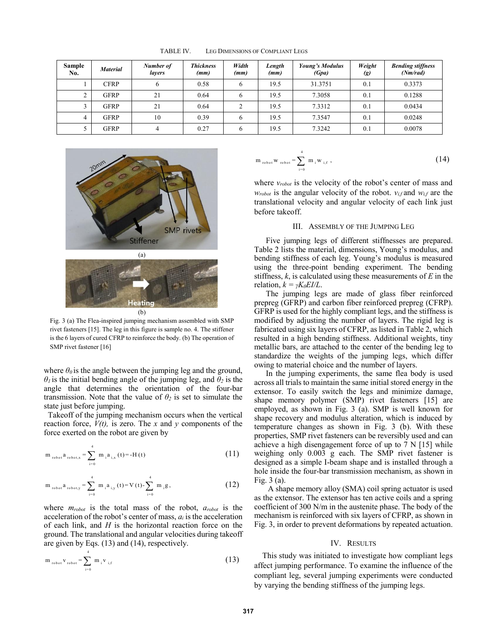| <b>Sample</b><br>No. | <b>Material</b> | Number of<br>lavers | <b>Thickness</b><br>(mm) | Width<br>(mm) | Length<br>(mm) | <b>Young's Modulus</b><br>(Gpa) | Weight<br>$\left(g\right)$ | <b>Bending stiffness</b><br>(Nm/rad) |
|----------------------|-----------------|---------------------|--------------------------|---------------|----------------|---------------------------------|----------------------------|--------------------------------------|
|                      | <b>CFRP</b>     |                     | 0.58                     | 6             | 19.5           | 31.3751                         | 0.1                        | 0.3373                               |
| ∸                    | <b>GFRP</b>     | 21                  | 0.64                     | h             | 19.5           | 7.3058                          | 0.1                        | 0.1288                               |
|                      | <b>GFRP</b>     | 21                  | 0.64                     |               | 19.5           | 7.3312                          | 0.1                        | 0.0434                               |
|                      | <b>GFRP</b>     | 10                  | 0.39                     | h             | 19.5           | 7.3547                          | 0.1                        | 0.0248                               |
|                      | <b>GFRP</b>     |                     | 0.27                     | h             | 19.5           | 7.3242                          | 0.1                        | 0.0078                               |

TABLE IV. LEG DIMENSIONS OF COMPLIANT LEGS



Fig. 3 (a) The Flea-inspired jumping mechanism assembled with SMP rivet fasteners [15]. The leg in this figure is sample no. 4. The stiffener is the 6 layers of cured CFRP to reinforce the body. (b) The operation of SMP rivet fastener [16]

where  $\theta_0$  is the angle between the jumping leg and the ground,  $\theta$ <sup>*I*</sup> is the initial bending angle of the jumping leg, and  $\theta$ <sup>2</sup> is the angle that determines the orientation of the four-bar transmission. Note that the value of  $\theta_2$  is set to simulate the state just before jumping.

 Takeoff of the jumping mechanism occurs when the vertical reaction force, *V(t),* is zero. The *x* and *y* components of the force exerted on the robot are given by

$$
m_{\text{robot}} a_{\text{robot,x}} = \sum_{i=0}^{4} m_{i} a_{i,x} (t) = -H(t)
$$
 (11)

$$
m_{\text{robot}} a_{\text{robot}, y} = \sum_{i=0}^{4} m_{i} a_{i, y} (t) = V(t) - \sum_{i=0}^{4} m_{i} g,
$$
 (12)

where *mrobot* is the total mass of the robot, *arobot* is the acceleration of the robot's center of mass,  $a_i$  is the acceleration of each link, and *H* is the horizontal reaction force on the ground. The translational and angular velocities during takeoff are given by Eqs. (13) and (14), respectively.

$$
m_{\text{robot}} v_{\text{robot}} = \sum_{i=0}^{T} m_i v_{i,f}
$$
 (13)

$$
m_{\text{robot}} w_{\text{robot}} = \sum_{i=0}^{4} m_{i} w_{i,f}, \qquad (14)
$$

where *vrobot* is the velocity of the robot's center of mass and  $w_{robot}$  is the angular velocity of the robot.  $v_{if}$  and  $w_{if}$  are the translational velocity and angular velocity of each link just before takeoff.

### III. ASSEMBLY OF THE JUMPING LEG

Five jumping legs of different stiffnesses are prepared. Table 2 lists the material, dimensions, Young's modulus, and bending stiffness of each leg. Young's modulus is measured using the three-point bending experiment. The bending stiffness, *k*, is calculated using these measurements of *E* in the relation,  $k = \gamma K_{\theta} E I / L$ .

The jumping legs are made of glass fiber reinforced prepreg (GFRP) and carbon fiber reinforced prepreg (CFRP). GFRP is used for the highly compliant legs, and the stiffness is modified by adjusting the number of layers. The rigid leg is fabricated using six layers of CFRP, as listed in Table 2, which resulted in a high bending stiffness. Additional weights, tiny metallic bars, are attached to the center of the bending leg to standardize the weights of the jumping legs, which differ owing to material choice and the number of layers.

In the jumping experiments, the same flea body is used across all trials to maintain the same initial stored energy in the extensor. To easily switch the legs and minimize damage, shape memory polymer (SMP) rivet fasteners [15] are employed, as shown in Fig. 3 (a). SMP is well known for shape recovery and modulus alteration, which is induced by temperature changes as shown in Fig. 3 (b). With these properties, SMP rivet fasteners can be reversibly used and can achieve a high disengagement force of up to 7 N [15] while weighing only 0.003 g each. The SMP rivet fastener is designed as a simple I-beam shape and is installed through a hole inside the four-bar transmission mechanism, as shown in Fig. 3 (a).

A shape memory alloy (SMA) coil spring actuator is used as the extensor. The extensor has ten active coils and a spring coefficient of 300 N/m in the austenite phase. The body of the mechanism is reinforced with six layers of CFRP, as shown in Fig. 3, in order to prevent deformations by repeated actuation.

### IV. RESULTS

This study was initiated to investigate how compliant legs affect jumping performance. To examine the influence of the compliant leg, several jumping experiments were conducted by varying the bending stiffness of the jumping legs.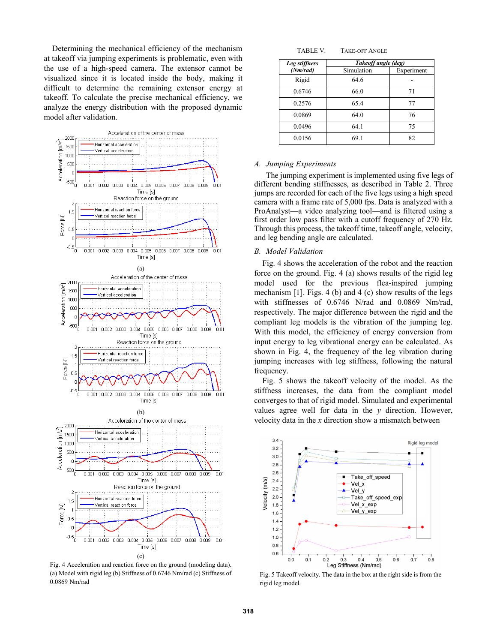Determining the mechanical efficiency of the mechanism at takeoff via jumping experiments is problematic, even with the use of a high-speed camera. The extensor cannot be visualized since it is located inside the body, making it difficult to determine the remaining extensor energy at takeoff. To calculate the precise mechanical efficiency, we analyze the energy distribution with the proposed dynamic model after validation.



Fig. 4 Acceleration and reaction force on the ground (modeling data). (a) Model with rigid leg (b) Stiffness of 0.6746 Nm/rad (c) Stiffness of 0.0869 Nm/rad

| Leg stiffness | Takeoff angle (deg) |            |  |  |  |
|---------------|---------------------|------------|--|--|--|
| (Nm/rad)      | Simulation          | Experiment |  |  |  |
| Rigid         | 64.6                |            |  |  |  |
| 0.6746        | 66.0                | 71         |  |  |  |
| 0.2576        | 65.4                | 77         |  |  |  |
| 0.0869        | 64.0                | 76         |  |  |  |
| 0.0496        | 64.1                | 75         |  |  |  |
| 0.0156        | 69.1                | 82         |  |  |  |

## *A. Jumping Experiments*

The jumping experiment is implemented using five legs of different bending stiffnesses, as described in Table 2. Three jumps are recorded for each of the five legs using a high speed camera with a frame rate of 5,000 fps. Data is analyzed with a ProAnalyst—a video analyzing tool—and is filtered using a first order low pass filter with a cutoff frequency of 270 Hz. Through this process, the takeoff time, takeoff angle, velocity, and leg bending angle are calculated.

#### *B. Model Validation*

Fig. 4 shows the acceleration of the robot and the reaction force on the ground. Fig. 4 (a) shows results of the rigid leg model used for the previous flea-inspired jumping mechanism [1]. Figs. 4 (b) and 4 (c) show results of the legs with stiffnesses of 0.6746 N/rad and 0.0869 Nm/rad, respectively. The major difference between the rigid and the compliant leg models is the vibration of the jumping leg. With this model, the efficiency of energy conversion from input energy to leg vibrational energy can be calculated. As shown in Fig. 4, the frequency of the leg vibration during jumping increases with leg stiffness, following the natural frequency.

Fig. 5 shows the takeoff velocity of the model. As the stiffness increases, the data from the compliant model converges to that of rigid model. Simulated and experimental values agree well for data in the *y* direction. However, velocity data in the *x* direction show a mismatch between



Fig. 5 Takeoff velocity. The data in the box at the right side is from the rigid leg model.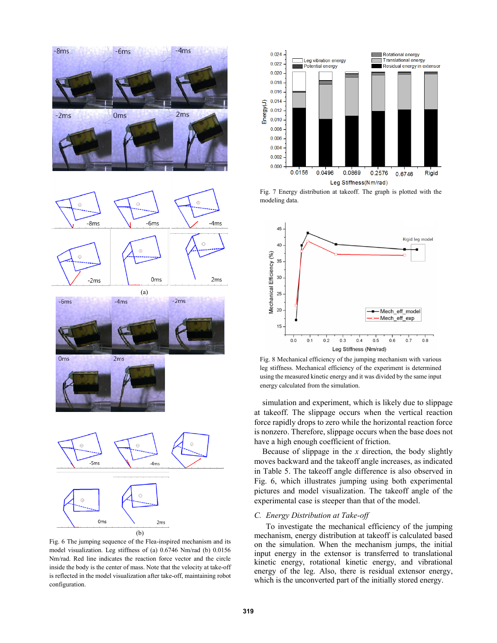

Fig. 6 The jumping sequence of the Flea-inspired mechanism and its model visualization. Leg stiffness of (a) 0.6746 Nm/rad (b) 0.0156 Nm/rad. Red line indicates the reaction force vector and the circle inside the body is the center of mass. Note that the velocity at take-off is reflected in the model visualization after take-off, maintaining robot configuration.



Fig. 7 Energy distribution at takeoff. The graph is plotted with the modeling data.



Fig. 8 Mechanical efficiency of the jumping mechanism with various leg stiffness. Mechanical efficiency of the experiment is determined using the measured kinetic energy and it was divided by the same input energy calculated from the simulation.

simulation and experiment, which is likely due to slippage at takeoff. The slippage occurs when the vertical reaction force rapidly drops to zero while the horizontal reaction force is nonzero. Therefore, slippage occurs when the base does not have a high enough coefficient of friction.

Because of slippage in the *x* direction, the body slightly moves backward and the takeoff angle increases, as indicated in Table 5. The takeoff angle difference is also observed in Fig. 6, which illustrates jumping using both experimental pictures and model visualization. The takeoff angle of the experimental case is steeper than that of the model.

#### *C. Energy Distribution at Take-off*

To investigate the mechanical efficiency of the jumping mechanism, energy distribution at takeoff is calculated based on the simulation. When the mechanism jumps, the initial input energy in the extensor is transferred to translational kinetic energy, rotational kinetic energy, and vibrational energy of the leg. Also, there is residual extensor energy, which is the unconverted part of the initially stored energy.